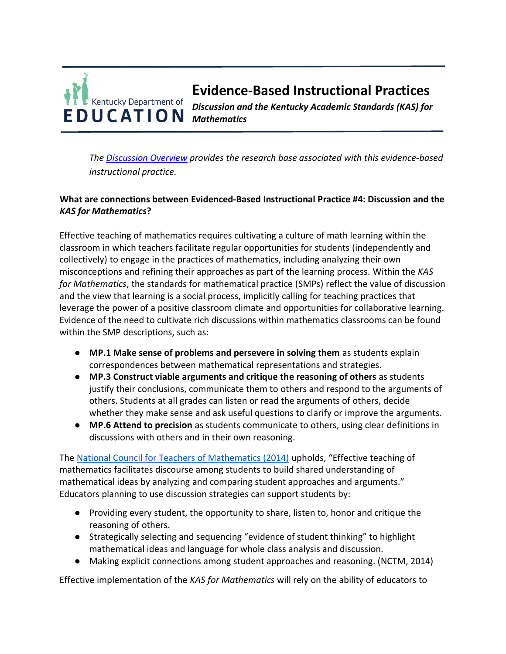

*The [Discussion Overview](https://education.ky.gov/curriculum/standards/kyacadstand/Documents/EBIP_4_Discussion.pdf) provides the research base associated with this evidence-based instructional practice.*

# **What are connections between Evidenced-Based Instructional Practice #4: Discussion and the**  *KAS for Mathematics***?**

Effective teaching of mathematics requires cultivating a culture of math learning within the classroom in which teachers facilitate regular opportunities for students (independently and collectively) to engage in the practices of mathematics, including analyzing their own misconceptions and refining their approaches as part of the learning process. Within the *KAS for Mathematics*, the standards for mathematical practice (SMPs) reflect the value of discussion and the view that learning is a social process, implicitly calling for teaching practices that leverage the power of a positive classroom climate and opportunities for collaborative learning. Evidence of the need to cultivate rich discussions within mathematics classrooms can be found within the SMP descriptions, such as:

- **MP.1 Make sense of problems and persevere in solving them** as students explain correspondences between mathematical representations and strategies.
- **MP.3 Construct viable arguments and critique the reasoning of others** as students justify their conclusions, communicate them to others and respond to the arguments of others. Students at all grades can listen or read the arguments of others, decide whether they make sense and ask useful questions to clarify or improve the arguments.
- **MP.6 Attend to precision** as students communicate to others, using clear definitions in discussions with others and in their own reasoning.

The [National Council for Teachers of Mathematics \(2014\)](https://education.ky.gov/curriculum/standards/kyacadstand/Documents/Effective_Mathematics_Teaching_Practices_NCTM.docx) upholds, "Effective teaching of mathematics facilitates discourse among students to build shared understanding of mathematical ideas by analyzing and comparing student approaches and arguments." Educators planning to use discussion strategies can support students by:

- Providing every student, the opportunity to share, listen to, honor and critique the reasoning of others.
- Strategically selecting and sequencing "evidence of student thinking" to highlight mathematical ideas and language for whole class analysis and discussion.
- Making explicit connections among student approaches and reasoning. (NCTM, 2014)

Effective implementation of the *KAS for Mathematics* will rely on the ability of educators to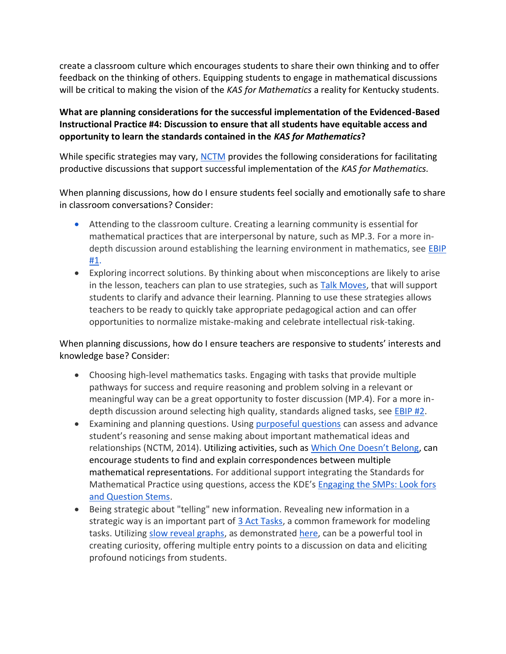create a classroom culture which encourages students to share their own thinking and to offer feedback on the thinking of others. Equipping students to engage in mathematical discussions will be critical to making the vision of the *KAS for Mathematics* a reality for Kentucky students.

# **What are planning considerations for the successful implementation of the Evidenced-Based Instructional Practice #4: Discussion to ensure that all students have equitable access and opportunity to learn the standards contained in the** *KAS for Mathematics***?**

While specific strategies may vary, [NCTM](https://www.nctm.org/Research-and-Advocacy/Research-Brief-and-Clips/Strategies-for-Discussion/) provides the following considerations for facilitating productive discussions that support successful implementation of the *KAS for Mathematics.*

When planning discussions, how do I ensure students feel socially and emotionally safe to share in classroom conversations? Consider:

- Attending to the classroom culture. Creating a learning community is essential for mathematical practices that are interpersonal by nature, such as MP.3. For a more indepth discussion around establishing the learning environment in mathematics, see [EBIP](https://education.ky.gov/curriculum/standards/kyacadstand/Documents/EBIP_1_Mathematics.pdf)  [#1.](https://education.ky.gov/curriculum/standards/kyacadstand/Documents/EBIP_1_Mathematics.pdf)
- Exploring incorrect solutions. By thinking about when misconceptions are likely to arise in the le[s](https://irp-cdn.multiscreensite.com/7a45b809/files/uploaded/talk_moves_map_oconnor_2017.pdf)son, teachers can plan to use strategies, such as **Talk Moves**, that will support students to clarify and advance their learning. Planning to use these strategies allows teachers to be ready to quickly take appropriate pedagogical action and can offer opportunities to normalize mistake-making and celebrate intellectual risk-taking.

When planning discussions, how do I ensure teachers are responsive to students' interests and knowledge base? Consider:

- Choosing high-level mathematics tasks. Engaging with tasks that provide multiple pathways for success and require reasoning and problem solving in a relevant or meaningful way can be a great opportunity to foster discussion (MP.4). For a more indepth discussion around selecting high quality, standards aligned tasks, see [EBIP #2.](https://education.ky.gov/curriculum/standards/kyacadstand/Documents/EBIP_2_Mathematics.pdf)
- Examining and planning questions. Using [purposeful questions](https://www.nctm.org/Conferences-and-Professional-Development/Tips-for-Teachers/Asking-Questions-and-Promoting-Discourse/) can assess and advance student's reasoning and sense making about important mathematical ideas and relationships (NCTM, 2014). Utilizing activities, such a[s](https://wodb.ca/index.html) [Which One Doesn't Belong](https://wodb.ca/index.html), can encourage students to find and explain correspondences between multiple mathematical representations. For additional support integrating the Standards for Mathematical Practice using questions, access the [K](https://education.ky.gov/curriculum/standards/kyacadstand/Documents/SMP_Look_Fors_and_Question_Stems.pdf)DE's Engaging the SMPs: Look fors [and Question Stems.](https://education.ky.gov/curriculum/standards/kyacadstand/Documents/SMP_Look_Fors_and_Question_Stems.pdf)
- Being strategic about "telling" new information. Revealing new information in a strategic way is an important part of [3 Act Tasks,](https://tapintoteenminds.com/3act-math/) a common framework for modeling tasks. Utilizing [slow reveal graphs,](https://slowrevealgraphs.com/) as demonstrate[d](https://amplify.com/math-teacher-lounge?utm_campaign=FY20_Math_mathteacherlounge.com_National_videoseries&utm_medium=email&_hsmi=105707915&_hsenc=p2ANqtz-9xlfmbHGZa5heYHLkxM7AlAO5XE0Ma7rwjb0tA87X3RK5FW5mj1Nvpali_tSxG9HGdZZL1Brv74ckTeFswFapaxgKMz5SuaxV9HkS7u0ajrP69WK8&utm_content=105707915&utm_source=hs_email) [here,](https://amplify.com/math-teacher-lounge?utm_campaign=FY20_Math_mathteacherlounge.com_National_videoseries&utm_medium=email&_hsmi=105707915&_hsenc=p2ANqtz-9xlfmbHGZa5heYHLkxM7AlAO5XE0Ma7rwjb0tA87X3RK5FW5mj1Nvpali_tSxG9HGdZZL1Brv74ckTeFswFapaxgKMz5SuaxV9HkS7u0ajrP69WK8&utm_content=105707915&utm_source=hs_email) can be a powerful tool in creating curiosity, offering multiple entry points to a discussion on data and eliciting profound noticings from students.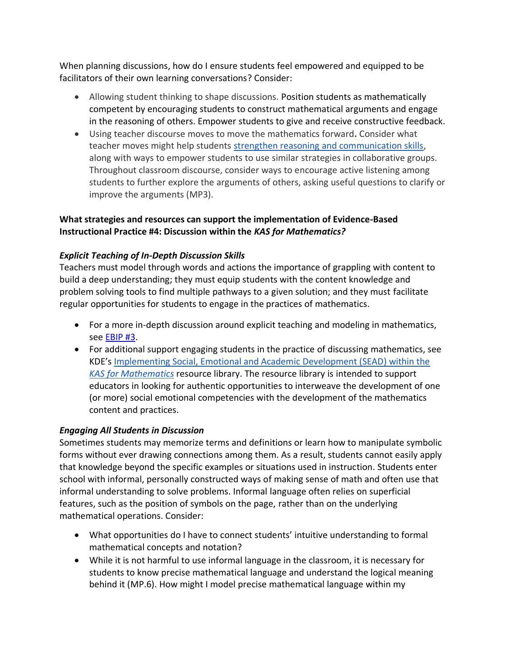When planning discussions, how do I ensure students feel empowered and equipped to be facilitators of their own learning conversations? Consider:

- Allowing student thinking to shape discussions. Position students as mathematically competent by encouraging students to construct mathematical arguments and engage in the reasoning of others. Empower students to give and receive constructive feedback.
- Using teacher discourse moves to move the mathematics forward**.** Consider what teacher moves might help students [strengthen reasoning and communication skills,](http://stem4els.wceruw.org/resources/Student-and-Teacher-moves.pdf) along with ways to empower students to use similar strategies in collaborative groups. Throughout classroom discourse, consider ways to encourage active listening among students to further explore the arguments of others, asking useful questions to clarify or improve the arguments (MP3).

# **What strategies and resources can support the implementation of Evidence-Based Instructional Practice #4: Discussion within the** *KAS for Mathematics?*

# *Explicit Teaching of In-Depth Discussion Skills*

Teachers must model through words and actions the importance of grappling with content to build a deep understanding; they must equip students with the content knowledge and problem solving tools to find multiple pathways to a given solution; and they must facilitate regular opportunities for students to engage in the practices of mathematics.

- For a more in-depth discussion around explicit teaching and modeling in mathematics, see [EBIP #3.](https://education.ky.gov/curriculum/standards/kyacadstand/Documents/EBIP_3_Mathematics.pdf)
- For additional support engaging students in the practice of discussing mathematics, see KDE's [Implementing Social, Emotional and Academic Development \(SEAD\) within the](https://kystandards.org/standards-resources/mathematics-resources/integrating-sead-mathematics/) *[KAS for Mathematics](https://kystandards.org/standards-resources/mathematics-resources/integrating-sead-mathematics/)* resource library. The resource library is intended to support educators in looking for authentic opportunities to interweave the development of one (or more) social emotional competencies with the development of the mathematics content and practices.

#### *Engaging All Students in Discussion*

Sometimes students may memorize terms and definitions or learn how to manipulate symbolic forms without ever drawing connections among them. As a result, students cannot easily apply that knowledge beyond the specific examples or situations used in instruction. Students enter school with informal, personally constructed ways of making sense of math and often use that informal understanding to solve problems. Informal language often relies on superficial features, such as the position of symbols on the page, rather than on the underlying mathematical operations. Consider:

- What opportunities do I have to connect students' intuitive understanding to formal mathematical concepts and notation?
- While it is not harmful to use informal language in the classroom, it is necessary for students to know precise mathematical language and understand the logical meaning behind it (MP.6). How might I model precise mathematical language within my